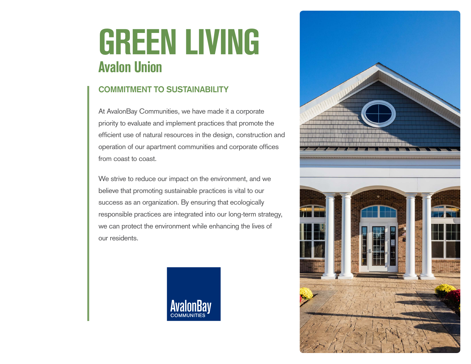# **GREEN LIVING Avalon Union**

### **COMMITMENT TO SUSTAINABILITY**

At AvalonBay Communities, we have made it a corporate priority to evaluate and implement practices that promote the efficient use of natural resources in the design, construction and operation of our apartment communities and corporate offices from coast to coast.

We strive to reduce our impact on the environment, and we believe that promoting sustainable practices is vital to our success as an organization. By ensuring that ecologically responsible practices are integrated into our long-term strategy, we can protect the environment while enhancing the lives of our residents.



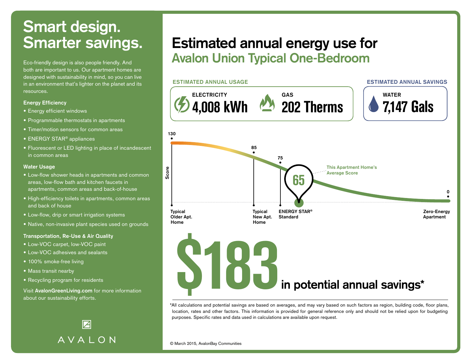Eco-friendly design is also people friendly. And both are important to us. Our apartment homes are designed with sustainability in mind, so you can live in an environment that's lighter on the planet and its resources.

### **Energy Efficiency**

- **•** Energy efficient windows
- **•** Programmable thermostats in apartments
- **•** Timer/motion sensors for common areas
- **•** ENERGY STAR® appliances
- **•** Fluorescent or LED lighting in place of incandescent in common areas

#### **Water Usage**

- **•** Low-flow shower heads in apartments and common areas, low-flow bath and kitchen faucets in apartments, common areas and back-of-house
- **•** High-efficiency toilets in apartments, common areas and back of house
- **•** Low-flow, drip or smart irrigation systems
- **•** Native, non-invasive plant species used on grounds

#### **Transportation, Re-Use & Air Quality**

- **•** Low-VOC carpet, low-VOC paint
- **•** Low-VOC adhesives and sealants
- **•** 100% smoke-free living
- **•** Mass transit nearby
- **•** Recycling program for residents

Visit **AvalonGreenLiving.com** for more information about our sustainability efforts.

> $\overline{\mathcal{A}}$ AVALON

### **Estimated annual energy use for Avalon Union Typical One-Bedroom**



\*All calculations and potential savings are based on averages, and may vary based on such factors as region, building code, floor plans, location, rates and other factors. This information is provided for general reference only and should not be relied upon for budgeting purposes. Specific rates and data used in calculations are available upon request.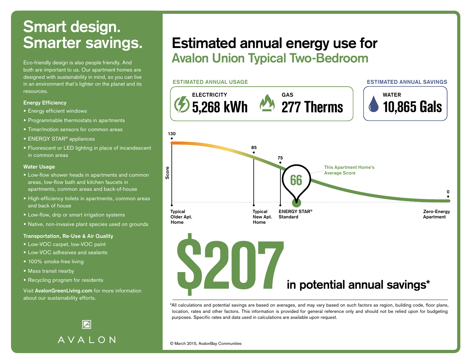Eco-friendly design is also people friendly. And both are important to us. Our apartment homes are designed with sustainability in mind, so you can live in an environment that's lighter on the planet and its resources.

### **Energy Efficiency**

- **•** Energy efficient windows
- **•** Programmable thermostats in apartments
- **•** Timer/motion sensors for common areas
- **•** ENERGY STAR® appliances
- **•** Fluorescent or LED lighting in place of incandescent in common areas

#### **Water Usage**

- **•** Low-flow shower heads in apartments and common areas, low-flow bath and kitchen faucets in apartments, common areas and back-of-house
- **•** High-efficiency toilets in apartments, common areas and back of house
- **•** Low-flow, drip or smart irrigation systems
- **•** Native, non-invasive plant species used on grounds

#### **Transportation, Re-Use & Air Quality**

- **•** Low-VOC carpet, low-VOC paint
- **•** Low-VOC adhesives and sealants
- **•** 100% smoke-free living
- **•** Mass transit nearby
- **•** Recycling program for residents

Visit **AvalonGreenLiving.com** for more information about our sustainability efforts.

> $\overline{\mathcal{A}}$ AVALON

### **Estimated annual energy use for Avalon Union Typical Two-Bedroom**



\*All calculations and potential savings are based on averages, and may vary based on such factors as region, building code, floor plans, location, rates and other factors. This information is provided for general reference only and should not be relied upon for budgeting purposes. Specific rates and data used in calculations are available upon request.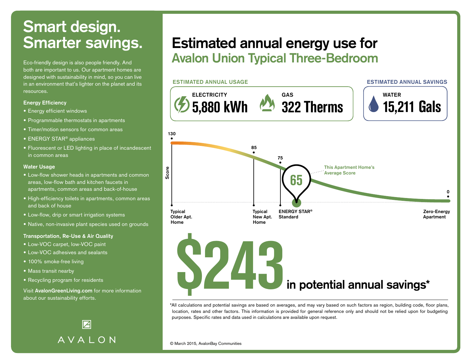Eco-friendly design is also people friendly. And both are important to us. Our apartment homes are designed with sustainability in mind, so you can live in an environment that's lighter on the planet and its resources.

### **Energy Efficiency**

- **•** Energy efficient windows
- **•** Programmable thermostats in apartments
- **•** Timer/motion sensors for common areas
- **•** ENERGY STAR® appliances
- **•** Fluorescent or LED lighting in place of incandescent in common areas

#### **Water Usage**

- **•** Low-flow shower heads in apartments and common areas, low-flow bath and kitchen faucets in apartments, common areas and back-of-house
- **•** High-efficiency toilets in apartments, common areas and back of house
- **•** Low-flow, drip or smart irrigation systems
- **•** Native, non-invasive plant species used on grounds

#### **Transportation, Re-Use & Air Quality**

- **•** Low-VOC carpet, low-VOC paint
- **•** Low-VOC adhesives and sealants
- **•** 100% smoke-free living
- **•** Mass transit nearby
- **•** Recycling program for residents

Visit **AvalonGreenLiving.com** for more information about our sustainability efforts.

> $\boldsymbol{\mathsf{Z}}$ AVALON

### **Estimated annual energy use for Avalon Union Typical Three-Bedroom**



\*All calculations and potential savings are based on averages, and may vary based on such factors as region, building code, floor plans, location, rates and other factors. This information is provided for general reference only and should not be relied upon for budgeting purposes. Specific rates and data used in calculations are available upon request.